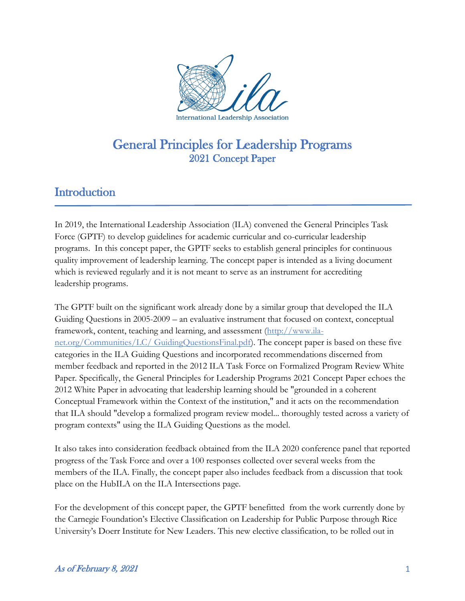

## **Introduction**

In 2019, the International Leadership Association (ILA) convened the General Principles Task Force (GPTF) to develop guidelines for academic curricular and co-curricular leadership programs. In this concept paper, the GPTF seeks to establish general principles for continuous quality improvement of leadership learning. The concept paper is intended as a living document which is reviewed regularly and it is not meant to serve as an instrument for accrediting leadership programs.

The GPTF built on the significant work already done by a similar group that developed the ILA Guiding Questions in 2005-2009 – an evaluative instrument that focused on context, conceptual framework, content, teaching and learning, and assessment [\(http://www.ila](http://www.ila-net.org/Communities/LC/)[net.org/Communities/LC/ GuidingQuestionsFinal.pdf\)](http://www.ila-net.org/Communities/LC/). The concept paper is based on these five categories in the ILA Guiding Questions and incorporated recommendations discerned from member feedback and reported in the 2012 ILA Task Force on Formalized Program Review White Paper*.* Specifically, the General Principles for Leadership Programs 2021 Concept Paper echoes the 2012 White Paper in advocating that leadership learning should be "grounded in a coherent Conceptual Framework within the Context of the institution," and it acts on the recommendation that ILA should "develop a formalized program review model... thoroughly tested across a variety of program contexts" using the ILA Guiding Questions as the model.

It also takes into consideration feedback obtained from the ILA 2020 conference panel that reported progress of the Task Force and over a 100 responses collected over several weeks from the members of the ILA. Finally, the concept paper also includes feedback from a discussion that took place on the HubILA on the ILA Intersections page.

For the development of this concept paper, the GPTF benefitted from the work currently done by the Carnegie Foundation's Elective Classification on Leadership for Public Purpose through Rice University's Doerr Institute for New Leaders. This new elective classification, to be rolled out in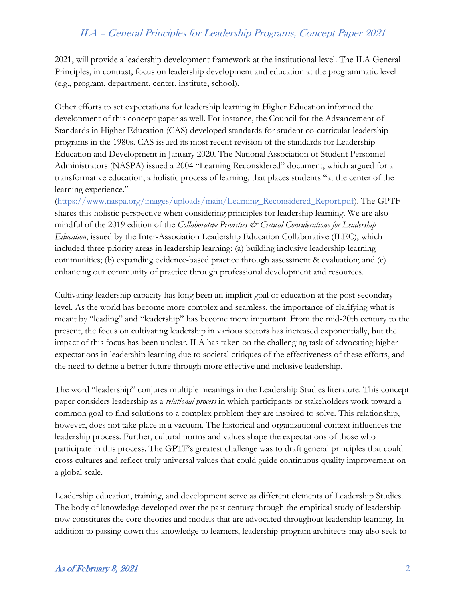2021, will provide a leadership development framework at the institutional level. The ILA General Principles, in contrast, focus on leadership development and education at the programmatic level (e.g., program, department, center, institute, school).

Other efforts to set expectations for leadership learning in Higher Education informed the development of this concept paper as well. For instance, the Council for the Advancement of Standards in Higher Education (CAS) developed standards for student co-curricular leadership programs in the 1980s. CAS issued its most recent revision of the standards for Leadership Education and Development in January 2020. The National Association of Student Personnel Administrators (NASPA) issued a 2004 "Learning Reconsidered" document, which argued for a transformative education, a holistic process of learning, that places students "at the center of the learning experience."

[\(https://www.naspa.org/images/uploads/main/Learning\\_Reconsidered\\_Report.pdf\)](https://www.naspa.org/images/uploads/main/Learning_Reconsidered_Report.pdf). The GPTF shares this holistic perspective when considering principles for leadership learning. We are also mindful of the 2019 edition of the *Collaborative Priorities & Critical Considerations for Leadership Education*, issued by the Inter-Association Leadership Education Collaborative (ILEC), which included three priority areas in leadership learning: (a) building inclusive leadership learning communities; (b) expanding evidence-based practice through assessment & evaluation; and (c) enhancing our community of practice through professional development and resources.

Cultivating leadership capacity has long been an implicit goal of education at the post-secondary level. As the world has become more complex and seamless, the importance of clarifying what is meant by "leading" and "leadership" has become more important. From the mid-20th century to the present, the focus on cultivating leadership in various sectors has increased exponentially, but the impact of this focus has been unclear. ILA has taken on the challenging task of advocating higher expectations in leadership learning due to societal critiques of the effectiveness of these efforts, and the need to define a better future through more effective and inclusive leadership.

The word "leadership" conjures multiple meanings in the Leadership Studies literature. This concept paper considers leadership as a *relational process* in which participants or stakeholders work toward a common goal to find solutions to a complex problem they are inspired to solve. This relationship, however, does not take place in a vacuum. The historical and organizational context influences the leadership process. Further, cultural norms and values shape the expectations of those who participate in this process. The GPTF's greatest challenge was to draft general principles that could cross cultures and reflect truly universal values that could guide continuous quality improvement on a global scale.

Leadership education, training, and development serve as different elements of Leadership Studies. The body of knowledge developed over the past century through the empirical study of leadership now constitutes the core theories and models that are advocated throughout leadership learning. In addition to passing down this knowledge to learners, leadership-program architects may also seek to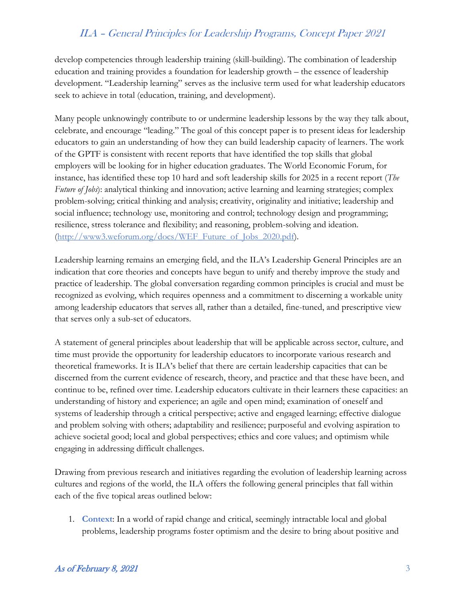develop competencies through leadership training (skill-building). The combination of leadership education and training provides a foundation for leadership growth – the essence of leadership development. "Leadership learning" serves as the inclusive term used for what leadership educators seek to achieve in total (education, training, and development).

Many people unknowingly contribute to or undermine leadership lessons by the way they talk about, celebrate, and encourage "leading." The goal of this concept paper is to present ideas for leadership educators to gain an understanding of how they can build leadership capacity of learners. The work of the GPTF is consistent with recent reports that have identified the top skills that global employers will be looking for in higher education graduates. The World Economic Forum, for instance, has identified these top 10 hard and soft leadership skills for 2025 in a recent report (*The Future of Jobs*): analytical thinking and innovation; active learning and learning strategies; complex problem-solving; critical thinking and analysis; creativity, originality and initiative; leadership and social influence; technology use, monitoring and control; technology design and programming; resilience, stress tolerance and flexibility; and reasoning, problem-solving and ideation. [\(http://www3.weforum.org/docs/WEF\\_Future\\_of\\_Jobs\\_2020.pdf\)](http://www3.weforum.org/docs/WEF_Future_of_Jobs_2020.pdf).

Leadership learning remains an emerging field, and the ILA's Leadership General Principles are an indication that core theories and concepts have begun to unify and thereby improve the study and practice of leadership. The global conversation regarding common principles is crucial and must be recognized as evolving, which requires openness and a commitment to discerning a workable unity among leadership educators that serves all, rather than a detailed, fine-tuned, and prescriptive view that serves only a sub-set of educators.

A statement of general principles about leadership that will be applicable across sector, culture, and time must provide the opportunity for leadership educators to incorporate various research and theoretical frameworks. It is ILA's belief that there are certain leadership capacities that can be discerned from the current evidence of research, theory, and practice and that these have been, and continue to be, refined over time. Leadership educators cultivate in their learners these capacities: an understanding of history and experience; an agile and open mind; examination of oneself and systems of leadership through a critical perspective; active and engaged learning; effective dialogue and problem solving with others; adaptability and resilience; purposeful and evolving aspiration to achieve societal good; local and global perspectives; ethics and core values; and optimism while engaging in addressing difficult challenges.

Drawing from previous research and initiatives regarding the evolution of leadership learning across cultures and regions of the world, the ILA offers the following general principles that fall within each of the five topical areas outlined below:

1. **Context**: In a world of rapid change and critical, seemingly intractable local and global problems, leadership programs foster optimism and the desire to bring about positive and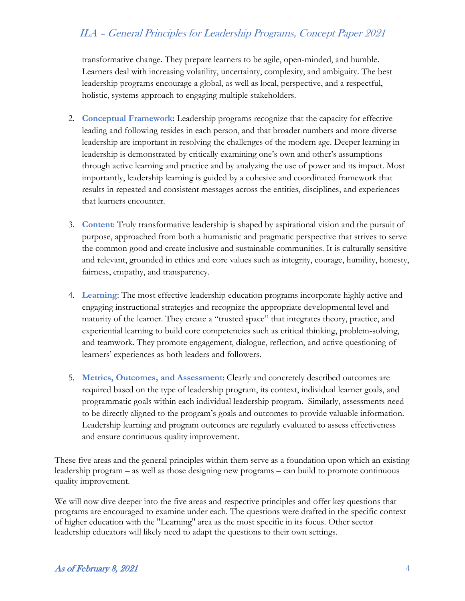transformative change. They prepare learners to be agile, open-minded, and humble. Learners deal with increasing volatility, uncertainty, complexity, and ambiguity. The best leadership programs encourage a global, as well as local, perspective, and a respectful, holistic, systems approach to engaging multiple stakeholders.

- 2. **Conceptual Framework**: Leadership programs recognize that the capacity for effective leading and following resides in each person, and that broader numbers and more diverse leadership are important in resolving the challenges of the modern age. Deeper learning in leadership is demonstrated by critically examining one's own and other's assumptions through active learning and practice and by analyzing the use of power and its impact. Most importantly, leadership learning is guided by a cohesive and coordinated framework that results in repeated and consistent messages across the entities, disciplines, and experiences that learners encounter.
- 3. **Content**: Truly transformative leadership is shaped by aspirational vision and the pursuit of purpose, approached from both a humanistic and pragmatic perspective that strives to serve the common good and create inclusive and sustainable communities. It is culturally sensitive and relevant, grounded in ethics and core values such as integrity, courage, humility, honesty, fairness, empathy, and transparency.
- 4. **Learning**: The most effective leadership education programs incorporate highly active and engaging instructional strategies and recognize the appropriate developmental level and maturity of the learner. They create a "trusted space" that integrates theory, practice, and experiential learning to build core competencies such as critical thinking, problem-solving, and teamwork. They promote engagement, dialogue, reflection, and active questioning of learners' experiences as both leaders and followers.
- 5. **Metrics, Outcomes, and Assessment**: Clearly and concretely described outcomes are required based on the type of leadership program, its context, individual learner goals, and programmatic goals within each individual leadership program. Similarly, assessments need to be directly aligned to the program's goals and outcomes to provide valuable information. Leadership learning and program outcomes are regularly evaluated to assess effectiveness and ensure continuous quality improvement.

These five areas and the general principles within them serve as a foundation upon which an existing leadership program – as well as those designing new programs – can build to promote continuous quality improvement.

We will now dive deeper into the five areas and respective principles and offer key questions that programs are encouraged to examine under each. The questions were drafted in the specific context of higher education with the "Learning" area as the most specific in its focus. Other sector leadership educators will likely need to adapt the questions to their own settings.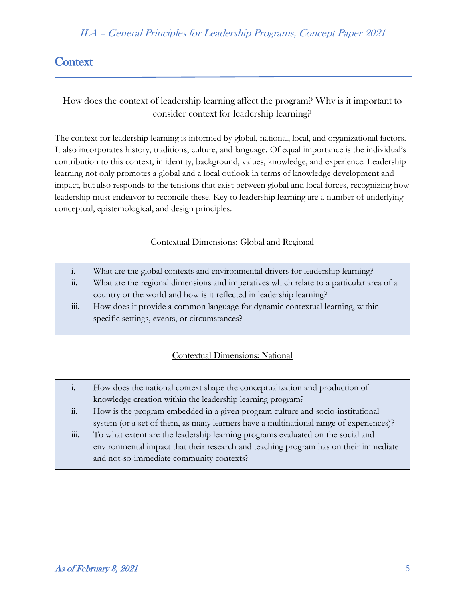## **Context**

## How does the context of leadership learning affect the program? Why is it important to consider context for leadership learning?

The context for leadership learning is informed by global, national, local, and organizational factors. It also incorporates history, traditions, culture, and language. Of equal importance is the individual's contribution to this context, in identity, background, values, knowledge, and experience. Leadership learning not only promotes a global and a local outlook in terms of knowledge development and impact, but also responds to the tensions that exist between global and local forces, recognizing how leadership must endeavor to reconcile these. Key to leadership learning are a number of underlying conceptual, epistemological, and design principles.

### Contextual Dimensions: Global and Regional

- i. What are the global contexts and environmental drivers for leadership learning?
- ii. What are the regional dimensions and imperatives which relate to a particular area of a country or the world and how is it reflected in leadership learning?
- iii. How does it provide a common language for dynamic contextual learning, within specific settings, events, or circumstances?

### Contextual Dimensions: National

- i. How does the national context shape the conceptualization and production of knowledge creation within the leadership learning program?
- ii. How is the program embedded in a given program culture and socio-institutional system (or a set of them, as many learners have a multinational range of experiences)?
- iii. To what extent are the leadership learning programs evaluated on the social and environmental impact that their research and teaching program has on their immediate and not-so-immediate community contexts?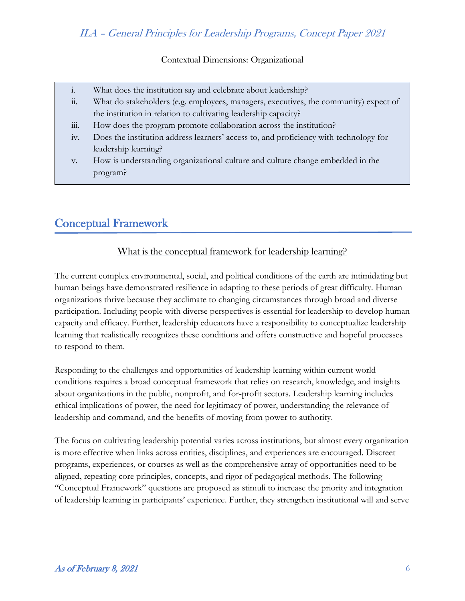### Contextual Dimensions: Organizational

|  | What does the institution say and celebrate about leadership? |  |  |
|--|---------------------------------------------------------------|--|--|
|  |                                                               |  |  |
|  |                                                               |  |  |

- ii. What do stakeholders (e.g. employees, managers, executives, the community) expect of the institution in relation to cultivating leadership capacity?
- iii. How does the program promote collaboration across the institution?
- iv. Does the institution address learners' access to, and proficiency with technology for leadership learning?
- v. How is understanding organizational culture and culture change embedded in the program?

# Conceptual Framework

Ī

What is the conceptual framework for leadership learning?

The current complex environmental, social, and political conditions of the earth are intimidating but human beings have demonstrated resilience in adapting to these periods of great difficulty. Human organizations thrive because they acclimate to changing circumstances through broad and diverse participation. Including people with diverse perspectives is essential for leadership to develop human capacity and efficacy. Further, leadership educators have a responsibility to conceptualize leadership learning that realistically recognizes these conditions and offers constructive and hopeful processes to respond to them.

Responding to the challenges and opportunities of leadership learning within current world conditions requires a broad conceptual framework that relies on research, knowledge, and insights about organizations in the public, nonprofit, and for-profit sectors. Leadership learning includes ethical implications of power, the need for legitimacy of power, understanding the relevance of leadership and command, and the benefits of moving from power to authority.

The focus on cultivating leadership potential varies across institutions, but almost every organization is more effective when links across entities, disciplines, and experiences are encouraged. Discreet programs, experiences, or courses as well as the comprehensive array of opportunities need to be aligned, repeating core principles, concepts, and rigor of pedagogical methods. The following "Conceptual Framework" questions are proposed as stimuli to increase the priority and integration of leadership learning in participants' experience. Further, they strengthen institutional will and serve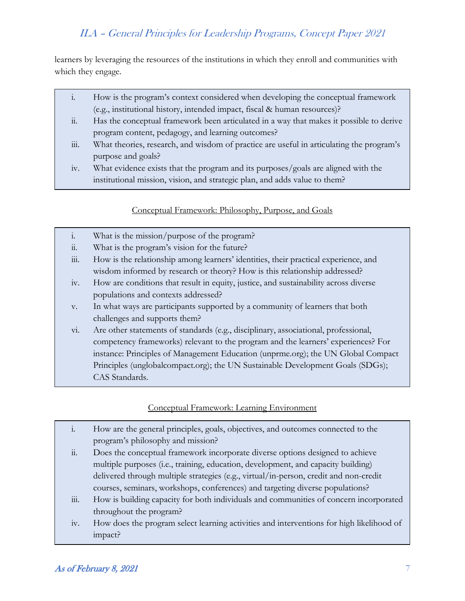learners by leveraging the resources of the institutions in which they enroll and communities with which they engage.

- i. How is the program's context considered when developing the conceptual framework (e.g., institutional history, intended impact, fiscal & human resources)?
- ii. Has the conceptual framework been articulated in a way that makes it possible to derive program content, pedagogy, and learning outcomes?
- iii. What theories, research, and wisdom of practice are useful in articulating the program's purpose and goals?
- iv. What evidence exists that the program and its purposes/goals are aligned with the institutional mission, vision, and strategic plan, and adds value to them?

### Conceptual Framework: Philosophy, Purpose, and Goals

- i. What is the mission/purpose of the program?
- ii. What is the program's vision for the future?
- iii. How is the relationship among learners' identities, their practical experience, and wisdom informed by research or theory? How is this relationship addressed?
- iv. How are conditions that result in equity, justice, and sustainability across diverse populations and contexts addressed?
- v. In what ways are participants supported by a community of learners that both challenges and supports them?
- vi. Are other statements of standards (e.g., disciplinary, associational, professional, competency frameworks) relevant to the program and the learners' experiences? For instance: Principles of Management Education (unprme.org); the UN Global Compact Principles (unglobalcompact.org); the UN Sustainable Development Goals (SDGs); CAS Standards.

### Conceptual Framework: Learning Environment

- i. How are the general principles, goals, objectives, and outcomes connected to the program's philosophy and mission?
- ii. Does the conceptual framework incorporate diverse options designed to achieve multiple purposes (i.e., training, education, development, and capacity building) delivered through multiple strategies (e.g., virtual/in-person, credit and non-credit courses, seminars, workshops, conferences) and targeting diverse populations?
- iii. How is building capacity for both individuals and communities of concern incorporated throughout the program?
- iv. How does the program select learning activities and interventions for high likelihood of impact?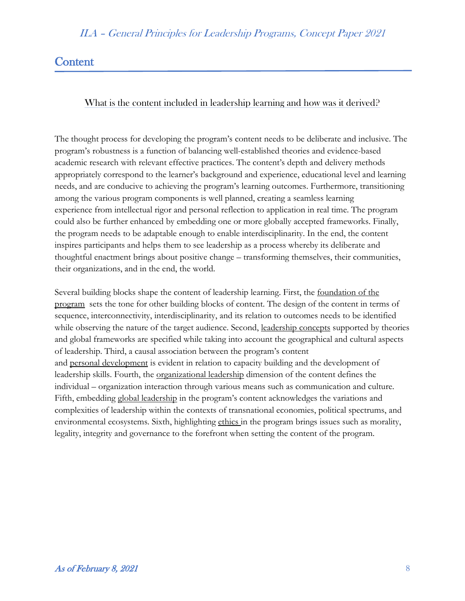## **Content**

Ξ

### What is the content included in leadership learning and how was it derived?

The thought process for developing the program's content needs to be deliberate and inclusive. The program's robustness is a function of balancing well-established theories and evidence-based academic research with relevant effective practices. The content's depth and delivery methods appropriately correspond to the learner's background and experience, educational level and learning needs, and are conducive to achieving the program's learning outcomes. Furthermore, transitioning among the various program components is well planned, creating a seamless learning experience from intellectual rigor and personal reflection to application in real time. The program could also be further enhanced by embedding one or more globally accepted frameworks. Finally, the program needs to be adaptable enough to enable interdisciplinarity. In the end, the content inspires participants and helps them to see leadership as a process whereby its deliberate and thoughtful enactment brings about positive change – transforming themselves, their communities, their organizations, and in the end, the world.

Several building blocks shape the content of leadership learning. First, the foundation of the program sets the tone for other building blocks of content. The design of the content in terms of sequence, interconnectivity, interdisciplinarity, and its relation to outcomes needs to be identified while observing the nature of the target audience. Second, leadership concepts supported by theories and global frameworks are specified while taking into account the geographical and cultural aspects of leadership. Third, a causal association between the program's content and personal development is evident in relation to capacity building and the development of leadership skills. Fourth, the organizational leadership dimension of the content defines the individual – organization interaction through various means such as communication and culture. Fifth, embedding global leadership in the program's content acknowledges the variations and complexities of leadership within the contexts of transnational economies, political spectrums, and environmental ecosystems. Sixth, highlighting ethics in the program brings issues such as morality, legality, integrity and governance to the forefront when setting the content of the program.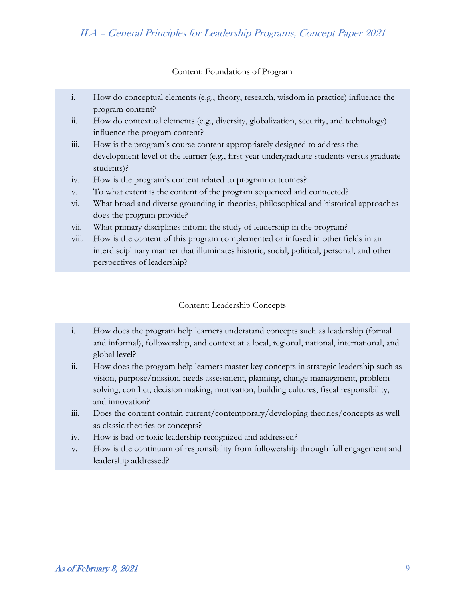#### Content: Foundations of Program

- i. How do conceptual elements (e.g., theory, research, wisdom in practice) influence the program content?
- ii. How do contextual elements (e.g., diversity, globalization, security, and technology) influence the program content?
- iii. How is the program's course content appropriately designed to address the development level of the learner (e.g., first-year undergraduate students versus graduate students)?
- iv. How is the program's content related to program outcomes?
- v. To what extent is the content of the program sequenced and connected?
- vi. What broad and diverse grounding in theories, philosophical and historical approaches does the program provide?
- vii. What primary disciplines inform the study of leadership in the program?
- viii. How is the content of this program complemented or infused in other fields in an interdisciplinary manner that illuminates historic, social, political, personal, and other perspectives of leadership?

#### Content: Leadership Concepts

- i. How does the program help learners understand concepts such as leadership (formal and informal), followership, and context at a local, regional, national, international, and global level?
- ii. How does the program help learners master key concepts in strategic leadership such as vision, purpose/mission, needs assessment, planning, change management, problem solving, conflict, decision making, motivation, building cultures, fiscal responsibility, and innovation?
- iii. Does the content contain current/contemporary/developing theories/concepts as well as classic theories or concepts?
- iv. How is bad or toxic leadership recognized and addressed?
- v. How is the continuum of responsibility from followership through full engagement and leadership addressed?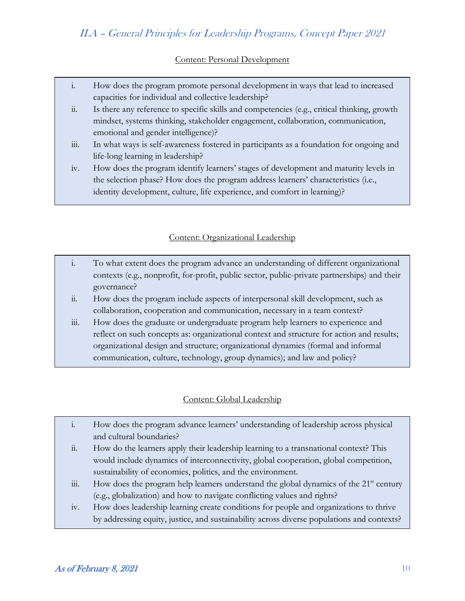### Content: Personal Development

- i. How does the program promote personal development in ways that lead to increased capacities for individual and collective leadership?
- ii. Is there any reference to specific skills and competencies (e.g., critical thinking, growth mindset, systems thinking, stakeholder engagement, collaboration, communication, emotional and gender intelligence)?
- iii. In what ways is self-awareness fostered in participants as a foundation for ongoing and life-long learning in leadership?
- iv. How does the program identify learners' stages of development and maturity levels in the selection phase? How does the program address learners' characteristics (i.e., identity development, culture, life experience, and comfort in learning)?

### Content: Organizational Leadership

- i. To what extent does the program advance an understanding of different organizational contexts (e.g., nonprofit, for-profit, public sector, public-private partnerships) and their governance?
- ii. How does the program include aspects of interpersonal skill development, such as collaboration, cooperation and communication, necessary in a team context?
- iii. How does the graduate or undergraduate program help learners to experience and reflect on such concepts as: organizational context and structure for action and results; organizational design and structure; organizational dynamics (formal and informal communication, culture, technology, group dynamics); and law and policy?

### Content: Global Leadership

- i. How does the program advance learners' understanding of leadership across physical and cultural boundaries?
- ii. How do the learners apply their leadership learning to a transnational context? This would include dynamics of interconnectivity, global cooperation, global competition, sustainability of economies, politics, and the environment.
- iii. How does the program help learners understand the global dynamics of the  $21<sup>st</sup>$  century (e.g., globalization) and how to navigate conflicting values and rights?
- iv. How does leadership learning create conditions for people and organizations to thrive by addressing equity, justice, and sustainability across diverse populations and contexts?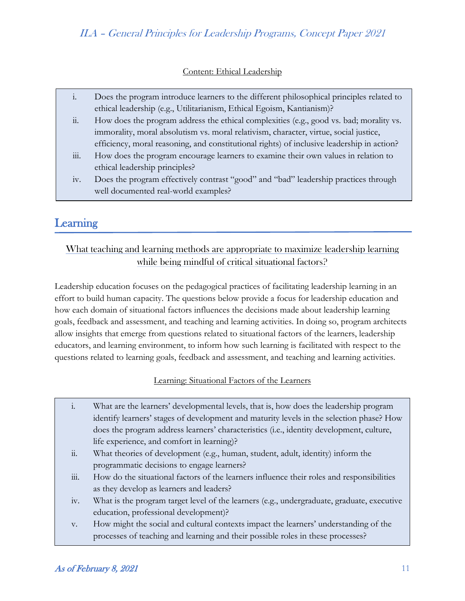#### Content: Ethical Leadership

|               | Does the program introduce learners to the different philosophical principles related to   |
|---------------|--------------------------------------------------------------------------------------------|
|               | ethical leadership (e.g., Utilitarianism, Ethical Egoism, Kantianism)?                     |
| $\dddot{a}$ . | How does the program address the ethical complexities (e.g., good vs. bad; morality vs.    |
|               | immorality, moral absolutism vs. moral relativism, character, virtue, social justice,      |
|               | efficiency, moral reasoning, and constitutional rights) of inclusive leadership in action? |
| 111.          | How does the program encourage learners to examine their own values in relation to         |
|               | ethical leadership principles?                                                             |
| iv.           | Does the program effectively contrast "good" and "bad" leadership practices through        |
|               | well documented real-world examples?                                                       |

## Learning

### What teaching and learning methods are appropriate to maximize leadership learning while being mindful of critical situational factors?

Leadership education focuses on the pedagogical practices of facilitating leadership learning in an effort to build human capacity. The questions below provide a focus for leadership education and how each domain of situational factors influences the decisions made about leadership learning goals, feedback and assessment, and teaching and learning activities. In doing so, program architects allow insights that emerge from questions related to situational factors of the learners, leadership educators, and learning environment, to inform how such learning is facilitated with respect to the questions related to learning goals, feedback and assessment, and teaching and learning activities.

#### Learning: Situational Factors of the Learners

- i. What are the learners' developmental levels, that is, how does the leadership program identify learners' stages of development and maturity levels in the selection phase? How does the program address learners' characteristics (i.e., identity development, culture, life experience, and comfort in learning)?
- ii. What theories of development (e.g., human, student, adult, identity) inform the programmatic decisions to engage learners?
- iii. How do the situational factors of the learners influence their roles and responsibilities as they develop as learners and leaders?
- iv. What is the program target level of the learners (e.g., undergraduate, graduate, executive education, professional development)?
- v. How might the social and cultural contexts impact the learners' understanding of the processes of teaching and learning and their possible roles in these processes?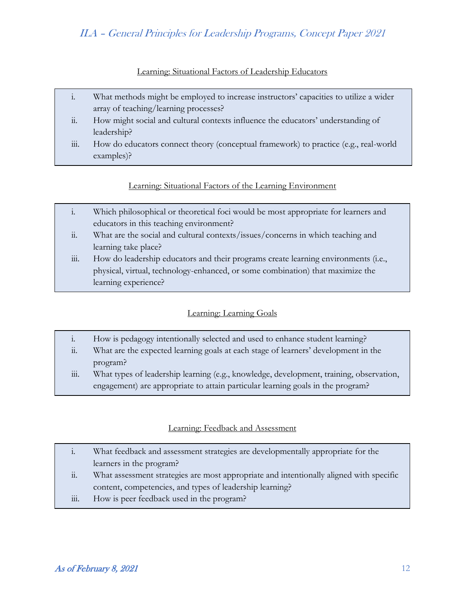#### Learning: Situational Factors of Leadership Educators

- i. What methods might be employed to increase instructors' capacities to utilize a wider array of teaching/learning processes?
- ii. How might social and cultural contexts influence the educators' understanding of leadership?
- iii. How do educators connect theory (conceptual framework) to practice (e.g., real-world examples)?

### Learning: Situational Factors of the Learning Environment

- i. Which philosophical or theoretical foci would be most appropriate for learners and educators in this teaching environment?
- ii. What are the social and cultural contexts/issues/concerns in which teaching and learning take place?
- iii. How do leadership educators and their programs create learning environments (i.e., physical, virtual, technology-enhanced, or some combination) that maximize the learning experience?

### Learning: Learning Goals

- i. How is pedagogy intentionally selected and used to enhance student learning?
- ii. What are the expected learning goals at each stage of learners' development in the program?
- iii. What types of leadership learning (e.g., knowledge, development, training, observation, engagement) are appropriate to attain particular learning goals in the program?

#### Learning: Feedback and Assessment

- i. What feedback and assessment strategies are developmentally appropriate for the learners in the program?
- ii. What assessment strategies are most appropriate and intentionally aligned with specific content, competencies, and types of leadership learning?
- iii. How is peer feedback used in the program?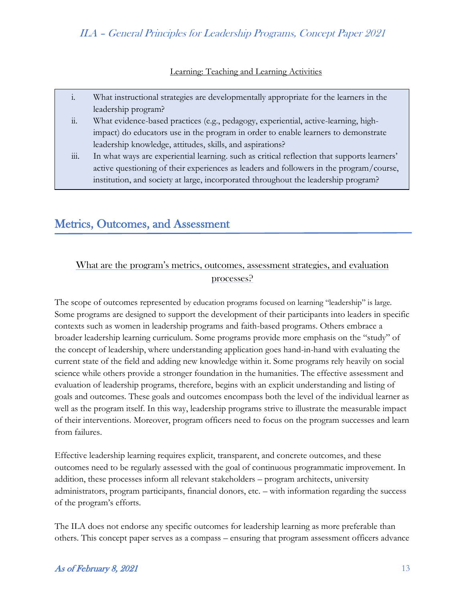#### Learning: Teaching and Learning Activities

- i. What instructional strategies are developmentally appropriate for the learners in the leadership program?
- ii. What evidence-based practices (e.g., pedagogy, experiential, active-learning, highimpact) do educators use in the program in order to enable learners to demonstrate leadership knowledge, attitudes, skills, and aspirations?
- iii. In what ways are experiential learning. such as critical reflection that supports learners' active questioning of their experiences as leaders and followers in the program/course, institution, and society at large, incorporated throughout the leadership program?

## Metrics, Outcomes, and Assessment

Ξ

### What are the program's metrics, outcomes, assessment strategies, and evaluation processes?

The scope of outcomes represented by education programs focused on learning "leadership" is large. Some programs are designed to support the development of their participants into leaders in specific contexts such as women in leadership programs and faith-based programs. Others embrace a broader leadership learning curriculum. Some programs provide more emphasis on the "study" of the concept of leadership, where understanding application goes hand-in-hand with evaluating the current state of the field and adding new knowledge within it. Some programs rely heavily on social science while others provide a stronger foundation in the humanities. The effective assessment and evaluation of leadership programs, therefore, begins with an explicit understanding and listing of goals and outcomes. These goals and outcomes encompass both the level of the individual learner as well as the program itself. In this way, leadership programs strive to illustrate the measurable impact of their interventions. Moreover, program officers need to focus on the program successes and learn from failures.

Effective leadership learning requires explicit, transparent, and concrete outcomes, and these outcomes need to be regularly assessed with the goal of continuous programmatic improvement. In addition, these processes inform all relevant stakeholders – program architects, university administrators, program participants, financial donors, etc. – with information regarding the success of the program's efforts.

The ILA does not endorse any specific outcomes for leadership learning as more preferable than others. This concept paper serves as a compass – ensuring that program assessment officers advance

#### As of February 8, 2021  $\frac{13}{3}$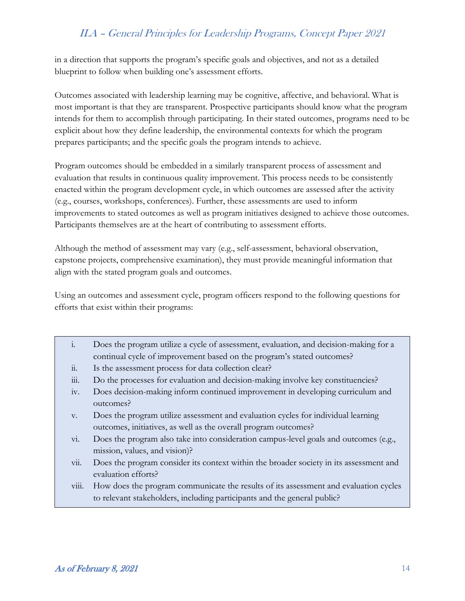in a direction that supports the program's specific goals and objectives, and not as a detailed blueprint to follow when building one's assessment efforts.

Outcomes associated with leadership learning may be cognitive, affective, and behavioral. What is most important is that they are transparent. Prospective participants should know what the program intends for them to accomplish through participating. In their stated outcomes, programs need to be explicit about how they define leadership, the environmental contexts for which the program prepares participants; and the specific goals the program intends to achieve.

Program outcomes should be embedded in a similarly transparent process of assessment and evaluation that results in continuous quality improvement. This process needs to be consistently enacted within the program development cycle, in which outcomes are assessed after the activity (e.g., courses, workshops, conferences). Further, these assessments are used to inform improvements to stated outcomes as well as program initiatives designed to achieve those outcomes. Participants themselves are at the heart of contributing to assessment efforts.

Although the method of assessment may vary (e.g., self-assessment, behavioral observation, capstone projects, comprehensive examination), they must provide meaningful information that align with the stated program goals and outcomes.

Using an outcomes and assessment cycle, program officers respond to the following questions for efforts that exist within their programs:

- i. Does the program utilize a cycle of assessment, evaluation, and decision-making for a continual cycle of improvement based on the program's stated outcomes?
- ii. Is the assessment process for data collection clear?
- iii. Do the processes for evaluation and decision-making involve key constituencies?
- iv. Does decision-making inform continued improvement in developing curriculum and outcomes?
- v. Does the program utilize assessment and evaluation cycles for individual learning outcomes, initiatives, as well as the overall program outcomes?
- vi. Does the program also take into consideration campus-level goals and outcomes (e.g., mission, values, and vision)?
- vii. Does the program consider its context within the broader society in its assessment and evaluation efforts?
- viii. How does the program communicate the results of its assessment and evaluation cycles to relevant stakeholders, including participants and the general public?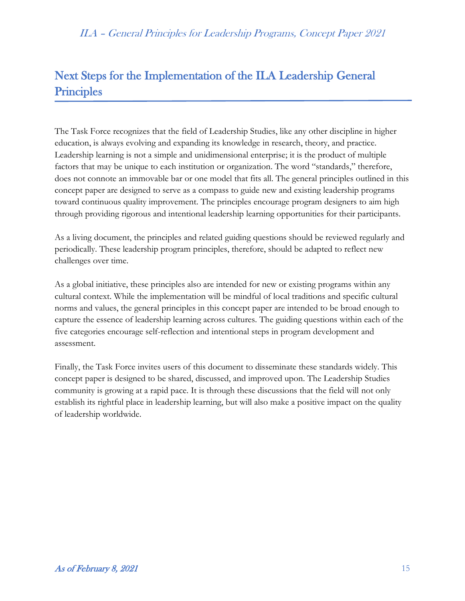# Next Steps for the Implementation of the ILA Leadership General **Principles**

The Task Force recognizes that the field of Leadership Studies, like any other discipline in higher education, is always evolving and expanding its knowledge in research, theory, and practice. Leadership learning is not a simple and unidimensional enterprise; it is the product of multiple factors that may be unique to each institution or organization. The word "standards," therefore, does not connote an immovable bar or one model that fits all. The general principles outlined in this concept paper are designed to serve as a compass to guide new and existing leadership programs toward continuous quality improvement. The principles encourage program designers to aim high through providing rigorous and intentional leadership learning opportunities for their participants.

As a living document, the principles and related guiding questions should be reviewed regularly and periodically. These leadership program principles, therefore, should be adapted to reflect new challenges over time.

As a global initiative, these principles also are intended for new or existing programs within any cultural context. While the implementation will be mindful of local traditions and specific cultural norms and values, the general principles in this concept paper are intended to be broad enough to capture the essence of leadership learning across cultures. The guiding questions within each of the five categories encourage self-reflection and intentional steps in program development and assessment.

Finally, the Task Force invites users of this document to disseminate these standards widely. This concept paper is designed to be shared, discussed, and improved upon. The Leadership Studies community is growing at a rapid pace. It is through these discussions that the field will not only establish its rightful place in leadership learning, but will also make a positive impact on the quality of leadership worldwide.

Ξ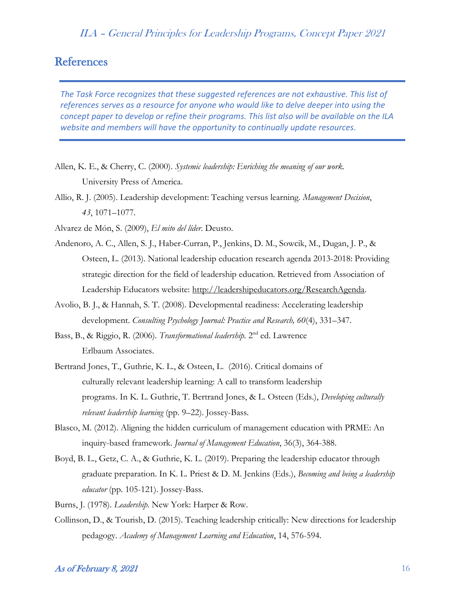## **References**

*The Task Force recognizes that these suggested references are not exhaustive. This list of references serves as a resource for anyone who would like to delve deeper into using the concept paper to develop or refine their programs. This list also will be available on the ILA website and members will have the opportunity to continually update resources.*

- Allen, K. E., & Cherry, C. (2000). *Systemic leadership: Enriching the meaning of our work.* University Press of America.
- Allio, R. J. (2005). Leadership development: Teaching versus learning. *Management Decision*, *43*, 1071–1077.
- Alvarez de Món, S. (2009), *El mito del líder*. Deusto.
- Andenoro, A. C., Allen, S. J., Haber-Curran, P., Jenkins, D. M., Sowcik, M., Dugan, J. P., & Osteen, L. (2013). National leadership education research agenda 2013-2018: Providing strategic direction for the field of leadership education. Retrieved from Association of Leadership Educators website: [http://leadershipeducators.org/ResearchAgenda.](http://leadershipeducators.org/ResearchAgenda)
- Avolio, B. J., & Hannah, S. T. (2008). Developmental readiness: Accelerating leadership development. *Consulting Psychology Journal: Practice and Research, 60*(4), 331–347.
- Bass, B., & Riggio, R. (2006). *Transformational leadership*. 2<sup>nd</sup> ed. Lawrence Erlbaum Associates.
- Bertrand Jones, T., Guthrie, K. L., & Osteen, L. (2016). Critical domains of culturally relevant leadership learning: A call to transform leadership programs. In K. L. Guthrie, T. Bertrand Jones, & L. Osteen (Eds.), *Developing culturally relevant leadership learning* (pp. 9–22). Jossey-Bass.
- Blasco, M. (2012). Aligning the hidden curriculum of management education with PRME: An inquiry-based framework. *Journal of Management Education*, 36(3), 364-388.
- Boyd, B. L., Getz, C. A., & Guthrie, K. L. (2019). Preparing the leadership educator through graduate preparation. In K. L. Priest & D. M. Jenkins (Eds.), *Becoming and being a leadership educator* (pp. 105-121). Jossey-Bass.
- Burns, J. (1978). *Leadership*. New York: Harper & Row.
- Collinson, D., & Tourish, D. (2015). Teaching leadership critically: New directions for leadership pedagogy. *Academy of Management Learning and Education*, 14, 576-594.

#### As of February 8, 2021  $\sqrt{16}$  16  $\sqrt{2}$  16  $\sqrt{2}$  16  $\sqrt{2}$  16  $\sqrt{2}$  16  $\sqrt{2}$  16  $\sqrt{2}$  16  $\sqrt{2}$  16  $\sqrt{2}$  16  $\sqrt{2}$  16  $\sqrt{2}$  16  $\sqrt{2}$  16  $\sqrt{2}$  16  $\sqrt{2}$  16  $\sqrt{2}$  16  $\sqrt{2}$  16  $\sqrt{2}$  16  $\sqrt{2}$  16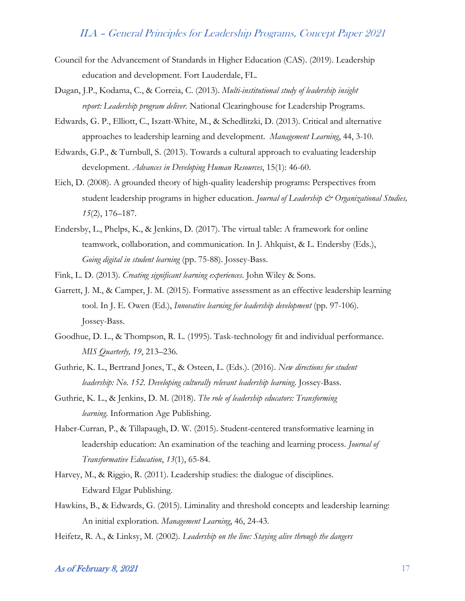- Council for the Advancement of Standards in Higher Education (CAS). (2019). Leadership education and development. Fort Lauderdale, FL.
- Dugan, J.P., Kodama, C., & Correia, C. (2013). *Multi-institutional study of leadership insight report: Leadership program deliver.* National Clearinghouse for Leadership Programs.
- Edwards, G. P., Elliott, C., Iszatt-White, M., & Schedlitzki, D. (2013). Critical and alternative approaches to leadership learning and development. *Management Learning*, 44, 3-10.
- Edwards, G.P., & Turnbull, S. (2013). Towards a cultural approach to evaluating leadership development. *Advances in Developing Human Resources*, 15(1): 46-60.
- Eich, D. (2008). A grounded theory of high-quality leadership programs: Perspectives from student leadership programs in higher education. *Journal of Leadership & Organizational Studies, 15*(2), 176–187.
- Endersby, L., Phelps, K., & Jenkins, D. (2017). The virtual table: A framework for online teamwork, collaboration, and communication. In J. Ahlquist, & L. Endersby (Eds.), *Going digital in student learning* (pp. 75-88). Jossey-Bass.
- Fink, L. D. (2013). *Creating significant learning experiences*. John Wiley & Sons.
- Garrett, J. M., & Camper, J. M. (2015). Formative assessment as an effective leadership learning tool. In J. E. Owen (Ed.), *Innovative learning for leadership development* (pp. 97-106). Jossey-Bass.
- Goodhue, D. L., & Thompson, R. L. (1995). Task-technology fit and individual performance. *MIS Quarterly, 19*, 213–236.
- Guthrie, K. L., Bertrand Jones, T., & Osteen, L. (Eds.). (2016). *New directions for student leadership: No. 152. Developing culturally relevant leadership learning*. Jossey-Bass.
- Guthrie, K. L., & Jenkins, D. M. (2018). *The role of leadership educators: Transforming learning*. Information Age Publishing.
- Haber-Curran, P., & Tillapaugh, D. W. (2015). Student-centered transformative learning in leadership education: An examination of the teaching and learning process. *Journal of Transformative Education*, *13*(1), 65-84.
- Harvey, M., & Riggio, R. (2011). Leadership studies: the dialogue of disciplines. Edward Elgar Publishing.
- Hawkins, B., & Edwards, G. (2015). Liminality and threshold concepts and leadership learning: An initial exploration. *Management Learning*, 46, 24-43.
- Heifetz, R. A., & Linksy, M. (2002). *Leadership on the line: Staying alive through the dangers*

#### $As$  of February 8, 2021 17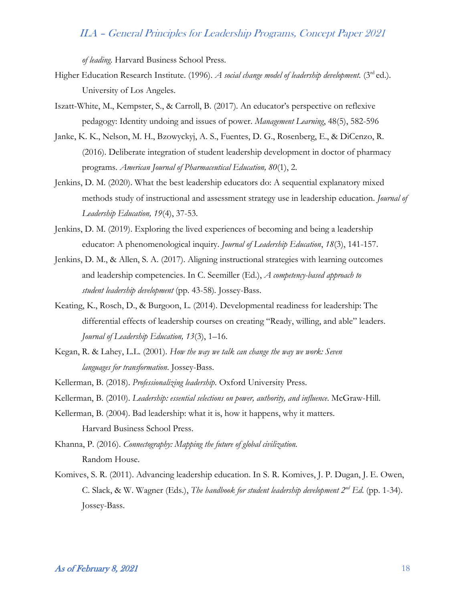*of leading*. Harvard Business School Press.

- Higher Education Research Institute. (1996). *A social change model of leadership development*. (3<sup>rd</sup> ed.). University of Los Angeles.
- Iszatt-White, M., Kempster, S., & Carroll, B. (2017). An educator's perspective on reflexive pedagogy: Identity undoing and issues of power. *Management Learning*, 48(5), 582-596
- Janke, K. K., Nelson, M. H., Bzowyckyj, A. S., Fuentes, D. G., Rosenberg, E., & DiCenzo, R. (2016). Deliberate integration of student leadership development in doctor of pharmacy programs. *American Journal of Pharmaceutical Education, 80*(1), 2.
- Jenkins, D. M. (2020). What the best leadership educators do: A sequential explanatory mixed methods study of instructional and assessment strategy use in leadership education. *Journal of Leadership Education, 19*(4), 37-53.
- Jenkins, D. M. (2019). Exploring the lived experiences of becoming and being a leadership educator: A phenomenological inquiry. *Journal of Leadership Education*, *18*(3), 141-157.
- Jenkins, D. M., & Allen, S. A. (2017). Aligning instructional strategies with learning outcomes and leadership competencies. In C. Seemiller (Ed.), *A competency-based approach to student leadership development* (pp. 43-58)*.* Jossey-Bass.
- Keating, K., Rosch, D., & Burgoon, L. (2014). Developmental readiness for leadership: The differential effects of leadership courses on creating "Ready, willing, and able" leaders. *Journal of Leadership Education, 13*(3), 1–16.
- Kegan, R. & Lahey, L.L. (2001). *How the way we talk can change the way we work: Seven languages for transformation*. Jossey-Bass.
- Kellerman, B. (2018). *Professionalizing leadership.* Oxford University Press.
- Kellerman, B. (2010). *Leadership: essential selections on power, authority, and influence*. McGraw-Hill.
- Kellerman, B. (2004). Bad leadership: what it is, how it happens, why it matters. Harvard Business School Press.
- Khanna, P. (2016). *Connectography: Mapping the future of global civilization.* Random House.
- Komives, S. R. (2011). Advancing leadership education. In S. R. Komives, J. P. Dugan, J. E. Owen, C. Slack, & W. Wagner (Eds.), *The handbook for student leadership development 2nd Ed*. (pp. 1-34). Jossey-Bass.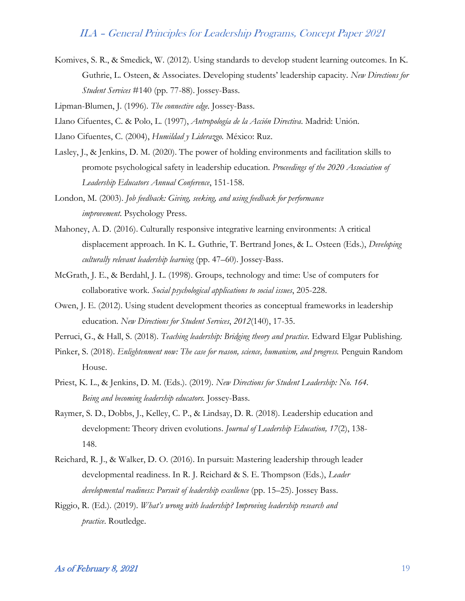Komives, S. R., & Smedick, W. (2012). Using standards to develop student learning outcomes. In K. Guthrie, L. Osteen, & Associates. Developing students' leadership capacity. *New Directions for Student Services* #140 (pp. 77-88). Jossey-Bass.

Lipman-Blumen, J. (1996). *The connective edge.* Jossey-Bass.

Llano Cifuentes, C. & Polo, L. (1997), *Antropología de la Acción Directiva*. Madrid: Unión.

Llano Cifuentes, C. (2004), *Humildad y Liderazgo.* México: Ruz.

- Lasley, J., & Jenkins, D. M. (2020). The power of holding environments and facilitation skills to promote psychological safety in leadership education. *Proceedings of the 2020 Association of Leadership Educators Annual Conference*, 151-158.
- London, M. (2003). *Job feedback: Giving, seeking, and using feedback for performance improvement*. Psychology Press.
- Mahoney, A. D. (2016). Culturally responsive integrative learning environments: A critical displacement approach. In K. L. Guthrie, T. Bertrand Jones, & L. Osteen (Eds.), *Developing culturally relevant leadership learning* (pp. 47–60). Jossey-Bass.
- McGrath, J. E., & Berdahl, J. L. (1998). Groups, technology and time: Use of computers for collaborative work. *Social psychological applications to social issues*, 205-228.
- Owen, J. E. (2012). Using student development theories as conceptual frameworks in leadership education. *New Directions for Student Services*, *2012*(140), 17-35.
- Perruci, G., & Hall, S. (2018). *Teaching leadership: Bridging theory and practice.* Edward Elgar Publishing.
- Pinker, S. (2018). *Enlightenment now: The case for reason, science, humanism, and progress*. Penguin Random House.
- Priest, K. L., & Jenkins, D. M. (Eds.). (2019). *New Directions for Student Leadership: No. 164. Being and becoming leadership educators.* Jossey-Bass.
- Raymer, S. D., Dobbs, J., Kelley, C. P., & Lindsay, D. R. (2018). Leadership education and development: Theory driven evolutions. *Journal of Leadership Education, 17*(2), 138- 148.
- Reichard, R. J., & Walker, D. O. (2016). In pursuit: Mastering leadership through leader developmental readiness. In R. J. Reichard & S. E. Thompson (Eds.), *Leader developmental readiness: Pursuit of leadership excellence* (pp. 15–25). Jossey Bass.
- Riggio, R. (Ed.). (2019). *What's wrong with leadership? Improving leadership research and practice*. Routledge.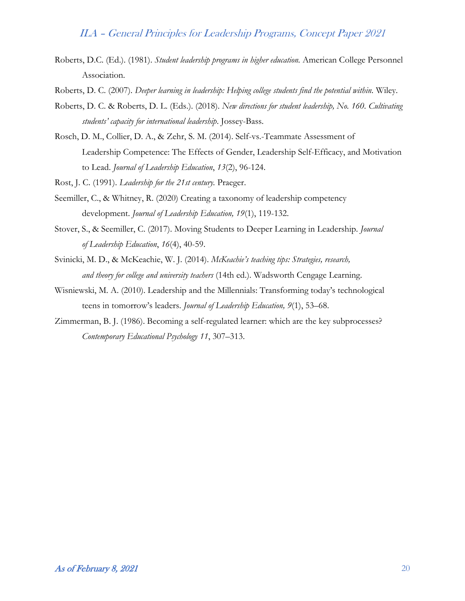- Roberts, D.C. (Ed.). (1981). *Student leadership programs in higher education.* American College Personnel Association.
- Roberts, D. C. (2007). *Deeper learning in leadership: Helping college students find the potential within.* Wiley.
- Roberts, D. C. & Roberts, D. L. (Eds.). (2018). *New directions for student leadership, No. 160. Cultivating students' capacity for international leadership*. Jossey-Bass.
- Rosch, D. M., Collier, D. A., & Zehr, S. M. (2014). Self-vs.-Teammate Assessment of Leadership Competence: The Effects of Gender, Leadership Self-Efficacy, and Motivation to Lead. *Journal of Leadership Education*, *13*(2), 96-124.
- Rost, J. C. (1991). *Leadership for the 21st century.* Praeger.
- Seemiller, C., & Whitney, R. (2020) Creating a taxonomy of leadership competency development. *Journal of Leadership Education, 19*(1), 119-132.
- Stover, S., & Seemiller, C. (2017). Moving Students to Deeper Learning in Leadership. *Journal of Leadership Education*, *16*(4), 40-59.
- Svinicki, M. D., & McKeachie, W. J. (2014). *McKeachie's teaching tips: Strategies, research, and theory for college and university teachers* (14th ed.). Wadsworth Cengage Learning.
- Wisniewski, M. A. (2010). Leadership and the Millennials: Transforming today's technological teens in tomorrow's leaders. *Journal of Leadership Education, 9*(1), 53–68.
- Zimmerman, B. J. (1986). Becoming a self-regulated learner: which are the key subprocesses? *Contemporary Educational Psychology 11*, 307–313.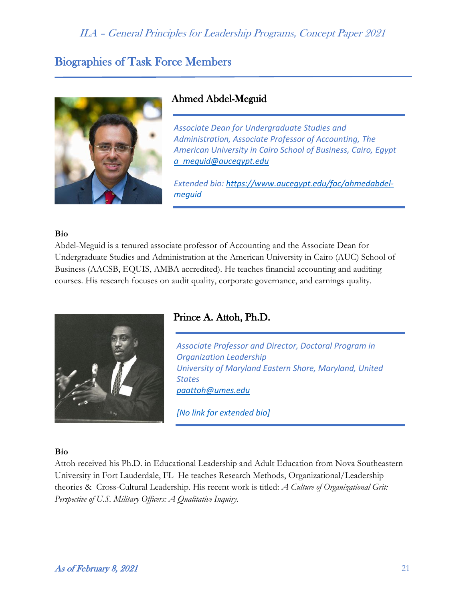## Biographies of Task Force Members



### Ahmed Abdel-Meguid

*Associate Dean for Undergraduate Studies and Administration, Associate Professor of Accounting, The American University in Cairo School of Business, Cairo, Egypt [a\\_meguid@aucegypt.edu](mailto:a_meguid@aucegypt.edu)*

*Extended bio: [https://www.aucegypt.edu/fac/ahmedabdel](https://www.aucegypt.edu/fac/ahmedabdel-meguid)[meguid](https://www.aucegypt.edu/fac/ahmedabdel-meguid)*

#### **Bio**

Abdel-Meguid is a tenured associate professor of Accounting and the Associate Dean for Undergraduate Studies and Administration at the American University in Cairo (AUC) School of Business (AACSB, EQUIS, AMBA accredited). He teaches financial accounting and auditing courses. His research focuses on audit quality, corporate governance, and earnings quality.



### Prince A. Attoh, Ph.D.

*Associate Professor and Director, Doctoral Program in Organization Leadership University of Maryland Eastern Shore, Maryland, United States [paattoh@umes.edu](mailto:paattoh@umes.edu)*

*[No link for extended bio]*

#### **Bio**

Attoh received his Ph.D. in Educational Leadership and Adult Education from Nova Southeastern University in Fort Lauderdale, FL He teaches Research Methods, Organizational/Leadership theories & Cross-Cultural Leadership. His recent work is titled: *A Culture of Organizational Grit: Perspective of U.S. Military Officers: A Qualitative Inquiry.*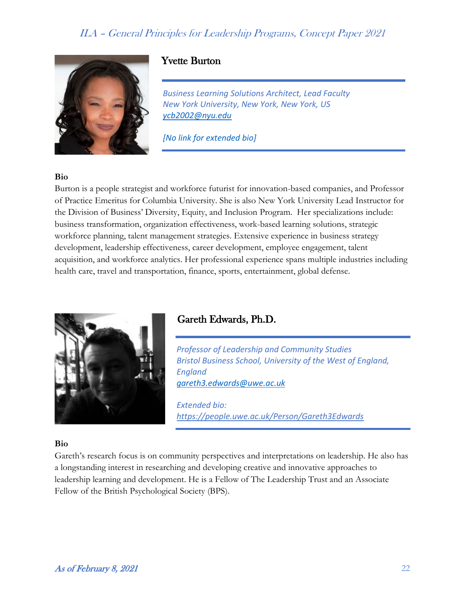

### Yvette Burton

*Business Learning Solutions Architect, Lead Faculty New York University, New York, New York, US [ycb2002@nyu.edu](mailto:ycb2002@nyu.edu)*

*[No link for extended bio]*

#### **Bio**

Burton is a people strategist and workforce futurist for innovation-based companies, and Professor of Practice Emeritus for Columbia University. She is also New York University Lead Instructor for the Division of Business' Diversity, Equity, and Inclusion Program. Her specializations include: business transformation, organization effectiveness, work-based learning solutions, strategic workforce planning, talent management strategies. Extensive experience in business strategy development, leadership effectiveness, career development, employee engagement, talent acquisition, and workforce analytics. Her professional experience spans multiple industries including health care, travel and transportation, finance, sports, entertainment, global defense.



### Gareth Edwards, Ph.D.

*Professor of Leadership and Community Studies Bristol Business School, University of the West of England, England [gareth3.edwards@uwe.ac.uk](mailto:gareth3.edwards@uwe.ac.uk)*

*Extended bio: <https://people.uwe.ac.uk/Person/Gareth3Edwards>*

#### **Bio**

Gareth's research focus is on community perspectives and interpretations on leadership. He also has a longstanding interest in researching and developing creative and innovative approaches to leadership learning and development. He is a Fellow of The Leadership Trust and an Associate Fellow of the British Psychological Society (BPS).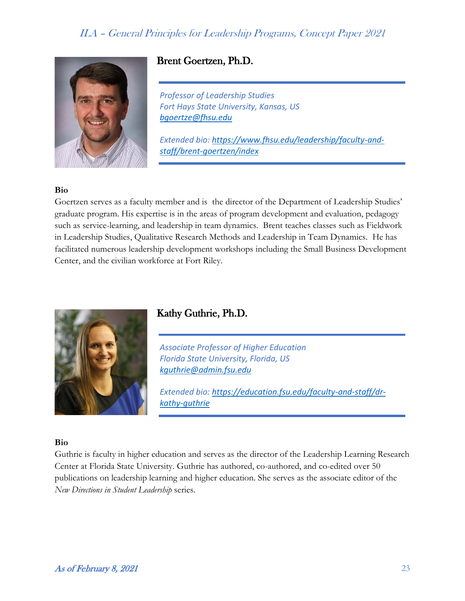

## Brent Goertzen, Ph.D.

*Professor of Leadership Studies Fort Hays State University, Kansas, US [bgoertze@fhsu.edu](mailto:bgoertze@fhsu.edu)*

*Extended bio: [https://www.fhsu.edu/leadership/faculty-and](https://www.fhsu.edu/leadership/faculty-and-staff/brent-goertzen/index)[staff/brent-goertzen/index](https://www.fhsu.edu/leadership/faculty-and-staff/brent-goertzen/index)*

#### **Bio**

Goertzen serves as a faculty member and is the director of the Department of Leadership Studies' graduate program. His expertise is in the areas of program development and evaluation, pedagogy such as service-learning, and leadership in team dynamics. Brent teaches classes such as Fieldwork in Leadership Studies, Qualitative Research Methods and Leadership in Team Dynamics. He has facilitated numerous leadership development workshops including the Small Business Development Center, and the civilian workforce at Fort Riley.



### Kathy Guthrie, Ph.D.

*Associate Professor of Higher Education Florida State University, Florida, US [kguthrie@admin.fsu.edu](mailto:kguthrie@admin.fsu.edu)*

*Extended bio: [https://education.fsu.edu/faculty-and-staff/dr](https://education.fsu.edu/faculty-and-staff/dr-kathy-guthrie)[kathy-guthrie](https://education.fsu.edu/faculty-and-staff/dr-kathy-guthrie)*

#### **Bio**

Guthrie is faculty in higher education and serves as the director of the Leadership Learning Research Center at Florida State University. Guthrie has authored, co-authored, and co-edited over 50 publications on leadership learning and higher education. She serves as the associate editor of the *New Directions in Student Leadership* series.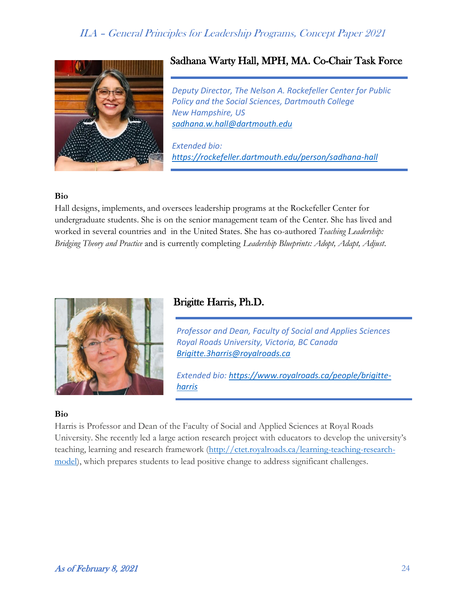

## Sadhana Warty Hall, MPH, MA. Co-Chair Task Force

*Deputy Director, The Nelson A. Rockefeller Center for Public Policy and the Social Sciences, Dartmouth College New Hampshire, US [sadhana.w.hall@dartmouth.edu](mailto:sadhana.w.hall@dartmouth.edu)*

*Extended bio: <https://rockefeller.dartmouth.edu/person/sadhana-hall>*

#### **Bio**

Hall designs, implements, and oversees leadership programs at the Rockefeller Center for undergraduate students. She is on the senior management team of the Center. She has lived and worked in several countries and in the United States. She has co-authored *Teaching Leadership: Bridging Theory and Practice* and is currently completing *Leadership Blueprints: Adopt, Adapt, Adjust*.



### Brigitte Harris, Ph.D.

*Professor and Dean, Faculty of Social and Applies Sciences Royal Roads University, Victoria, BC Canada [Brigitte.3harris@royalroads.ca](mailto:Brigitte.3harris@royalroads.ca)*

*Extended bio: [https://www.royalroads.ca/people/brigitte](https://www.royalroads.ca/people/brigitte-harris)[harris](https://www.royalroads.ca/people/brigitte-harris)*

#### **Bio**

Harris is Professor and Dean of the Faculty of Social and Applied Sciences at Royal Roads University. She recently led a large action research project with educators to develop the university's teaching, learning and research framework [\(http://ctet.royalroads.ca/learning-teaching-research](https://nam12.safelinks.protection.outlook.com/?url=http%3A%2F%2Fctet.royalroads.ca%2Flearning-teaching-research-model&data=02%7C01%7CSadhana.W.Hall%40dartmouth.edu%7C610cf4679ef247dfe50e08d8510543e8%7C995b093648d640e5a31ebf689ec9446f%7C0%7C0%7C637348430365580086&sdata=peQmtK4osZRlXpFIjU%2F260MgMt9tFfwp%2Fc5np3jv2aE%3D&reserved=0)[model\)](https://nam12.safelinks.protection.outlook.com/?url=http%3A%2F%2Fctet.royalroads.ca%2Flearning-teaching-research-model&data=02%7C01%7CSadhana.W.Hall%40dartmouth.edu%7C610cf4679ef247dfe50e08d8510543e8%7C995b093648d640e5a31ebf689ec9446f%7C0%7C0%7C637348430365580086&sdata=peQmtK4osZRlXpFIjU%2F260MgMt9tFfwp%2Fc5np3jv2aE%3D&reserved=0), which prepares students to lead positive change to address significant challenges.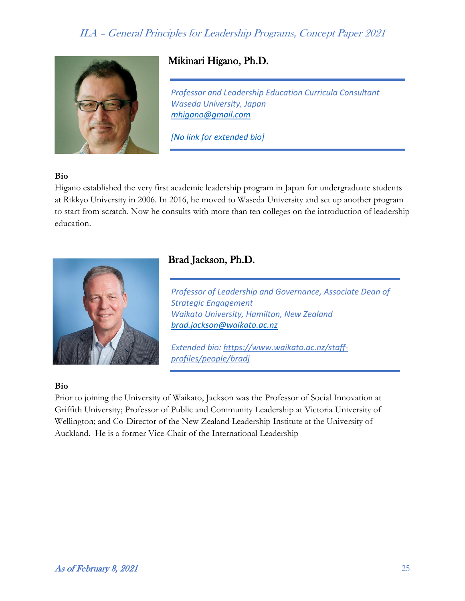

## Mikinari Higano, Ph.D.

*Professor and Leadership Education Curricula Consultant Waseda University, Japan [mhigano@gmail.com](mailto:mhigano@gmail.com)*

*[No link for extended bio]*

#### **Bio**

Higano established the very first academic leadership program in Japan for undergraduate students at Rikkyo University in 2006. In 2016, he moved to Waseda University and set up another program to start from scratch. Now he consults with more than ten colleges on the introduction of leadership education.



## Brad Jackson, Ph.D.

*Professor of Leadership and Governance, Associate Dean of Strategic Engagement Waikato University, Hamilton, New Zealand [brad.jackson@waikato.ac.nz](mailto:brad.jackson@waikato.ac.nz)*

*Extended bio: [https://www.waikato.ac.nz/staff](https://www.waikato.ac.nz/staff-profiles/people/bradj)[profiles/people/bradj](https://www.waikato.ac.nz/staff-profiles/people/bradj)*

#### **Bio**

Prior to joining the University of Waikato, Jackson was the Professor of Social Innovation at Griffith University; Professor of Public and Community Leadership at Victoria University of Wellington; and Co-Director of the New Zealand Leadership Institute at the University of Auckland. He is a former Vice-Chair of the International Leadership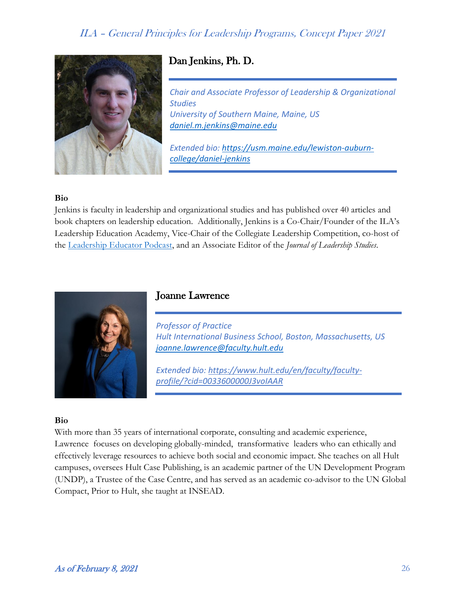

## Dan Jenkins, Ph. D.

*Chair and Associate Professor of Leadership & Organizational Studies University of Southern Maine, Maine, US [daniel.m.jenkins@maine.edu](mailto:daniel.m.jenkins@maine.edu)*

*Extended bio: [https://usm.maine.edu/lewiston-auburn](https://usm.maine.edu/lewiston-auburn-college/daniel-jenkins)[college/daniel-jenkins](https://usm.maine.edu/lewiston-auburn-college/daniel-jenkins)*

#### **Bio**

Jenkins is faculty in leadership and organizational studies and has published over 40 articles and book chapters on leadership education. Additionally, Jenkins is a Co-Chair/Founder of the ILA's Leadership Education Academy, Vice-Chair of the Collegiate Leadership Competition, co-host of the [Leadership Educator Podcast,](https://theleadershipeducator.podbean.com/) and an Associate Editor of the *Journal of Leadership Studies*.



### Joanne Lawrence

*Professor of Practice Hult International Business School, Boston, Massachusetts, US [joanne.lawrence@faculty.hult.edu](mailto:joanne.lawrence@faculty.hult.edu)*

*Extended bio: [https://www.hult.edu/en/faculty/faculty](https://www.hult.edu/en/faculty/faculty-profile/?cid=0033600000J3voIAAR)[profile/?cid=0033600000J3voIAAR](https://www.hult.edu/en/faculty/faculty-profile/?cid=0033600000J3voIAAR)*

#### **Bio**

With more than 35 years of international corporate, consulting and academic experience, Lawrence focuses on developing globally-minded, transformative leaders who can ethically and effectively leverage resources to achieve both social and economic impact. She teaches on all Hult campuses, oversees Hult Case Publishing, is an academic partner of the UN Development Program (UNDP), a Trustee of the Case Centre, and has served as an academic co-advisor to the UN Global Compact, Prior to Hult, she taught at INSEAD.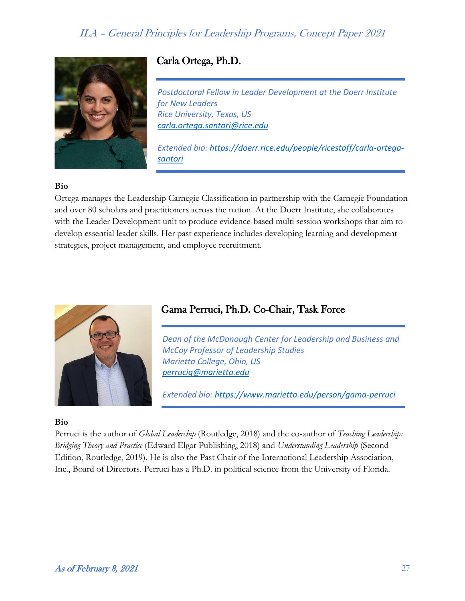

## Carla Ortega, Ph.D.

*Postdoctoral Fellow in Leader Development at the Doerr Institute for New Leaders Rice University, Texas, US [carla.ortega.santori@rice.edu](mailto:carla.ortega.santori@rice.edu)*

*Extended bio: [https://doerr.rice.edu/people/ricestaff/carla-ortega](https://doerr.rice.edu/people/ricestaff/carla-ortega-santori)[santori](https://doerr.rice.edu/people/ricestaff/carla-ortega-santori)*

#### **Bio**

Ortega manages the Leadership Carnegie Classification in partnership with the Carnegie Foundation and over 80 scholars and practitioners across the nation. At the Doerr Institute, she collaborates with the Leader Development unit to produce evidence-based multi session workshops that aim to develop essential leader skills. Her past experience includes developing learning and development strategies, project management, and employee recruitment.



### Gama Perruci, Ph.D. Co-Chair, Task Force

*Dean of the McDonough Center for Leadership and Business and McCoy Professor of Leadership Studies Marietta College, Ohio, US [perrucig@marietta.edu](mailto:perrucig@marietta.edu)*

*Extended bio:<https://www.marietta.edu/person/gama-perruci>*

#### **Bio**

Perruci is the author of *Global Leadership* (Routledge, 2018) and the co-author of *Teaching Leadership: Bridging Theory and Practice* (Edward Elgar Publishing, 2018) and *Understanding Leadership* (Second Edition, Routledge, 2019). He is also the Past Chair of the International Leadership Association, Inc., Board of Directors. Perruci has a Ph.D. in political science from the University of Florida.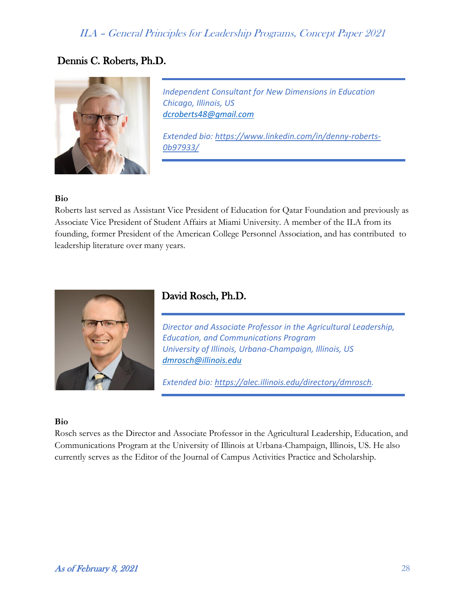## Dennis C. Roberts, Ph.D.



*Independent Consultant for New Dimensions in Education Chicago, Illinois, US [dcroberts48@gmail.com](mailto:dcroberts48@gmail.com)*

*Extended bio: [https://www.linkedin.com/in/denny-roberts-](https://www.linkedin.com/in/denny-roberts-0b97933/)[0b97933/](https://www.linkedin.com/in/denny-roberts-0b97933/)*

#### **Bio**

Roberts last served as Assistant Vice President of Education for Qatar Foundation and previously as Associate Vice President of Student Affairs at Miami University. A member of the ILA from its founding, former President of the American College Personnel Association, and has contributed to leadership literature over many years.



### David Rosch, Ph.D.

*Director and Associate Professor in the Agricultural Leadership, Education, and Communications Program University of Illinois, Urbana-Champaign, Illinois, US [dmrosch@illinois.edu](mailto:dmrosch@illinois.edu)*

*Extended bio: [https://alec.illinois.edu/directory/dmrosch.](https://alec.illinois.edu/directory/dmrosch)*

#### **Bio**

Rosch serves as the Director and Associate Professor in the Agricultural Leadership, Education, and Communications Program at the University of Illinois at Urbana-Champaign, Illinois, US. He also currently serves as the Editor of the Journal of Campus Activities Practice and Scholarship.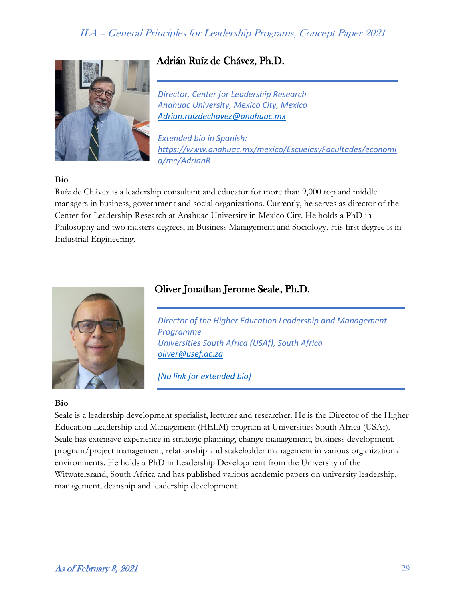

## Adrián Ruíz de Chávez, Ph.D.

*Director, Center for Leadership Research Anahuac University, Mexico City, Mexico [Adrian.ruizdechavez@anahuac.mx](mailto:Adrian.ruizdechavez@anahuac.mx)*

*Extended bio in Spanish: [https://www.anahuac.mx/mexico/EscuelasyFacultades/economi](https://www.anahuac.mx/mexico/EscuelasyFacultades/economia/me/AdrianR) [a/me/AdrianR](https://www.anahuac.mx/mexico/EscuelasyFacultades/economia/me/AdrianR)*

#### **Bio**

Ruíz de Chávez is a leadership consultant and educator for more than 9,000 top and middle managers in business, government and social organizations. Currently, he serves as director of the Center for Leadership Research at Anahuac University in Mexico City. He holds a PhD in Philosophy and two masters degrees, in Business Management and Sociology. His first degree is in Industrial Engineering.

# Oliver Jonathan Jerome Seale, Ph.D.



*Director of the Higher Education Leadership and Management Programme Universities South Africa (USAf), South Africa [oliver@usef.ac.za](mailto:oliver@usef.ac.za)*

*[No link for extended bio]*

#### **Bio**

Seale is a leadership development specialist, lecturer and researcher. He is the Director of the Higher Education Leadership and Management (HELM) program at Universities South Africa (USAf). Seale has extensive experience in strategic planning, change management, business development, program/project management, relationship and stakeholder management in various organizational environments. He holds a PhD in Leadership Development from the University of the Witwatersrand, South Africa and has published various academic papers on university leadership, management, deanship and leadership development.